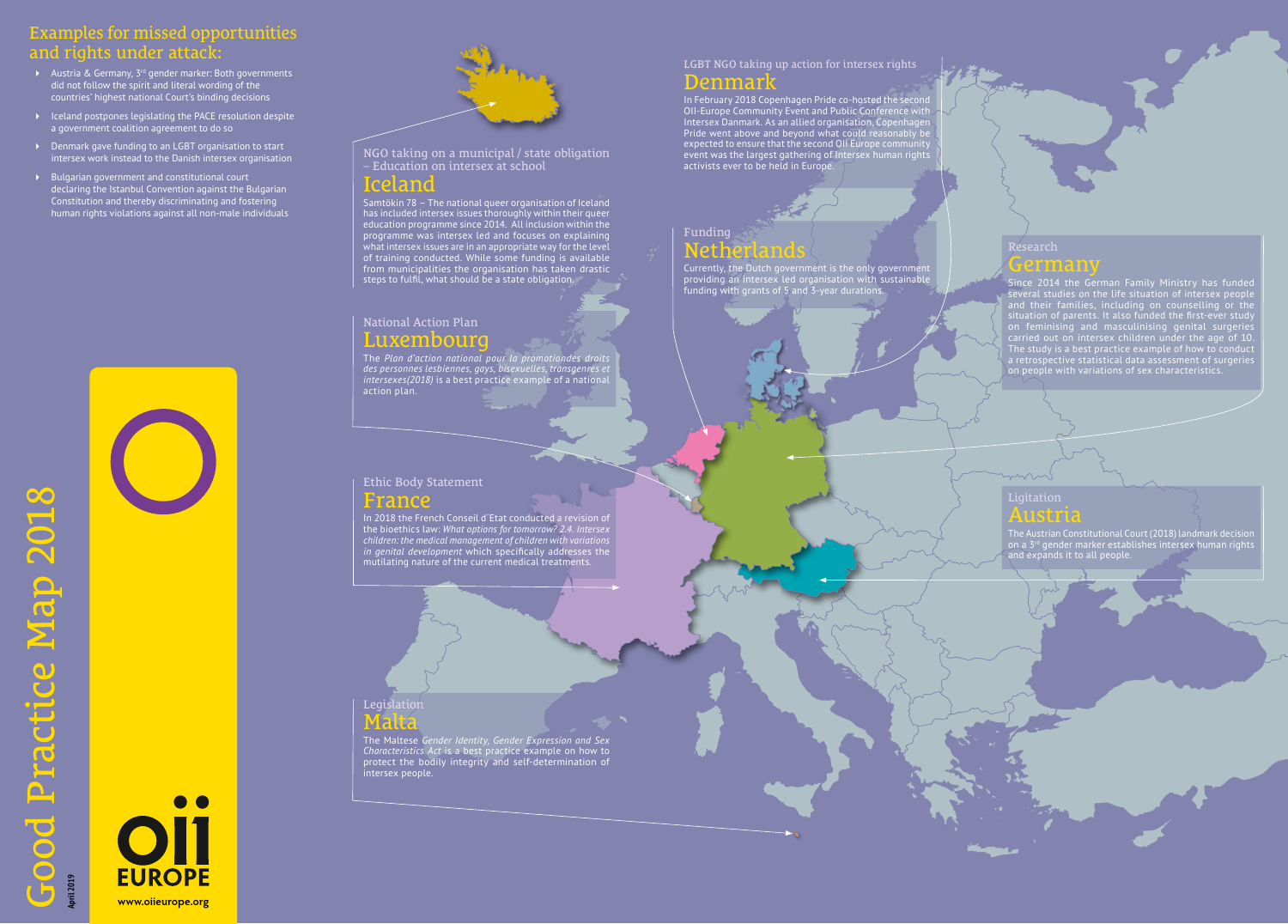**April 2019** 



## Examples for missed opportunities and rights under attack:

- $\blacktriangleright$  Austria & Germany, 3<sup>rd</sup> gender marker: Both governments did not follow the spirit and literal wording of the countries' highest national Court's binding decisions
- $\triangleright$  Iceland postpones legislating the PACE resolution despite a government coalition agreement to do so
- Denmark gave funding to an LGBT organisation to start intersex work instead to the Danish intersex organisation
- Bulgarian government and constitutional court declaring the Istanbul Convention against the Bulgarian Constitution and thereby discriminating and fostering human rights violations against all non-male individuals



Currently, the Dutch government is the only government providing an intersex led organisation with sustainable .<br>funding with grants of 5 and 3-year durations

**www.oiieurope.org**



### Legislation Malta

The Maltese *Gender Identity, Gender Expression and Sex Characteristics Act* is a best practice example on how to protect the bodily integrity and self-determination of intersex people.

### Austria

The Austrian Constitutional Court (2018) landmark decision on a 3<sup>rd</sup> gender marker establishes intersex human rights and expands it to all people.

### Funding Netherlands

NGO taking on a municipal / state obligation – Education on intersex at school

## Iceland

In February 2018 Copenhagen Pride co-hosted the secon OII-Europe Community Event and Public Conference with Intersex Danmark. As an allied organisation, Copenhagen Pride went above and beyond what could reasonably be expected to ensure that the second OII Europe community event was the largest gathering of Intersex human rights activists ever to be held in Europe.

Samtökin 78 – The national queer organisation of Iceland has included intersex issues thoroughly within their queer education programme since 2014. All inclusion within the programme was intersex led and focuses on explaining what intersex issues are in an appropriate way for the level of training conducted. While some funding is available from municipalities the organisation has taken drastic steps to fulfil, what should be a state obligation.

### Ethic Body Statement France

In 2018 the French Conseil d´Etat conducted a revision of the bioethics law: *What options for tomorrow? 2.4. Intersex children: the medical management of children with variations in genital development* which specifically addresses the mutilating nature of the current medical treatments.

## National Action Plan Luxembourg

The *Plan d'action national pour la promotiondes droits des personnes lesbiennes, gays, bisexuelles, transgenres et intersexes(2018)* is a best practice example of a national action plan.

### LGBT NGO taking up action for intersex rights Denmark

#### Research

## Germany

Since 2014 the German Family Ministry has funded several studies on the life situation of intersex people and their families, including on counselling or the situation of parents. It also funded the first-ever study on feminising and masculinising genital surgeries carried out on intersex children under the age of 10. The study is a best practice example of how to conduct a retrospective statistical data assessment of surgeries on people with variations of sex characteristics.

#### **Ligitation**